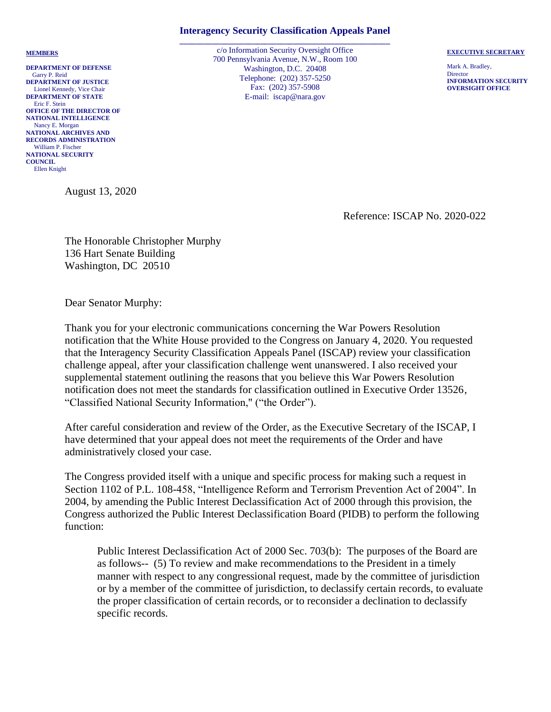## **Interagency Security Classification Appeals Panel \_\_\_\_\_\_\_\_\_\_\_\_\_\_\_\_\_\_\_\_\_\_\_\_\_\_\_\_\_\_\_\_\_\_\_\_\_\_\_\_\_\_\_\_\_\_\_\_\_\_\_\_**

**MEMBERS**

**DEPARTMENT OF DEFENSE** Garry P. Reid **DEPARTMENT OF JUSTICE** Lionel Kennedy, Vice Chair **DEPARTMENT OF STATE** Eric F. Stein **OFFICE OF THE DIRECTOR OF NATIONAL INTELLIGENCE** Nancy E. Morgan **NATIONAL ARCHIVES AND RECORDS ADMINISTRATION** William P. Fischer **NATIONAL SECURITY COUNCIL**  Ellen Knight

August 13, 2020

c/o Information Security Oversight Office 700 Pennsylvania Avenue, N.W., Room 100 Washington, D.C. 20408 Telephone: (202) 357-5250 Fax: (202) 357-5908 E-mail: iscap@nara.gov

**EXECUTIVE SECRETARY**

Mark A. Bradley, **Director INFORMATION SECURITY OVERSIGHT OFFICE**

Reference: ISCAP No. 2020-022

The Honorable Christopher Murphy 136 Hart Senate Building Washington, DC 20510

Dear Senator Murphy:

Thank you for your electronic communications concerning the War Powers Resolution notification that the White House provided to the Congress on January 4, 2020. You requested that the Interagency Security Classification Appeals Panel (ISCAP) review your classification challenge appeal, after your classification challenge went unanswered. I also received your supplemental statement outlining the reasons that you believe this War Powers Resolution notification does not meet the standards for classification outlined in Executive Order 13526, "Classified National Security Information," ("the Order").

After careful consideration and review of the Order, as the Executive Secretary of the ISCAP, I have determined that your appeal does not meet the requirements of the Order and have administratively closed your case.

The Congress provided itself with a unique and specific process for making such a request in Section 1102 of P.L. 108-458, "Intelligence Reform and Terrorism Prevention Act of 2004". In 2004, by amending the Public Interest Declassification Act of 2000 through this provision, the Congress authorized the Public Interest Declassification Board (PIDB) to perform the following function:

Public Interest Declassification Act of 2000 Sec. 703(b): The purposes of the Board are as follows-- (5) To review and make recommendations to the President in a timely manner with respect to any congressional request, made by the committee of jurisdiction or by a member of the committee of jurisdiction, to declassify certain records, to evaluate the proper classification of certain records, or to reconsider a declination to declassify specific records.